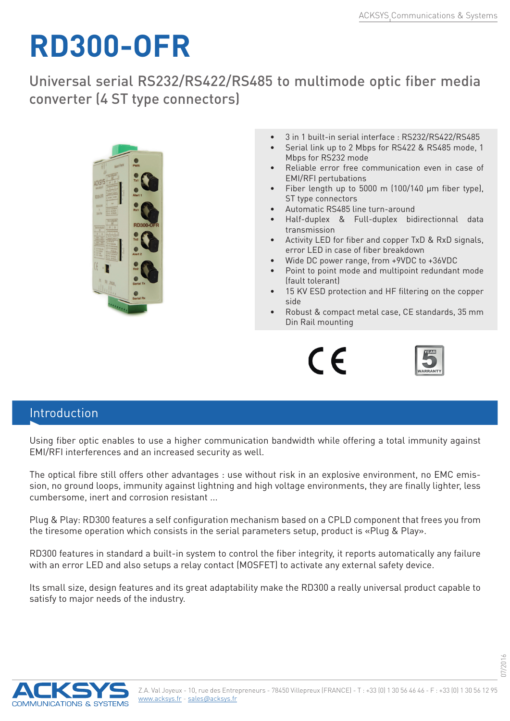## **RD300-OFR**

Universal serial RS232/RS422/RS485 to multimode optic fiber media converter (4 ST type connectors)



- 3 in 1 built-in serial interface : RS232/RS422/RS485
- Serial link up to 2 Mbps for RS422 & RS485 mode, 1 Mbps for RS232 mode
- Reliable error free communication even in case of EMI/RFI pertubations
- Fiber length up to 5000 m  $(100/140 \mu m)$  fiber type), ST type connectors
- Automatic RS485 line turn-around
- Half-duplex & Full-duplex bidirectionnal data transmission
- Activity LED for fiber and copper TxD & RxD signals. error LED in case of fiber breakdown
- Wide DC power range, from +9VDC to +36VDC
- Point to point mode and multipoint redundant mode (fault tolerant)
- 15 KV ESD protection and HF filtering on the copper side
- Robust & compact metal case, CE standards, 35 mm Din Rail mounting





07/2016

## Introduction

Using fiber optic enables to use a higher communication bandwidth while offering a total immunity against EMI/RFI interferences and an increased security as well.

The optical fibre still offers other advantages : use without risk in an explosive environment, no EMC emission, no ground loops, immunity against lightning and high voltage environments, they are finally lighter, less cumbersome, inert and corrosion resistant ...

Plug & Play: RD300 features a self configuration mechanism based on a CPLD component that frees you from the tiresome operation which consists in the serial parameters setup, product is «Plug & Play».

RD300 features in standard a built-in system to control the fiber integrity, it reports automatically any failure with an error LED and also setups a relay contact (MOSFET) to activate any external safety device.

Its small size, design features and its great adaptability make the RD300 a really universal product capable to satisfy to major needs of the industry.